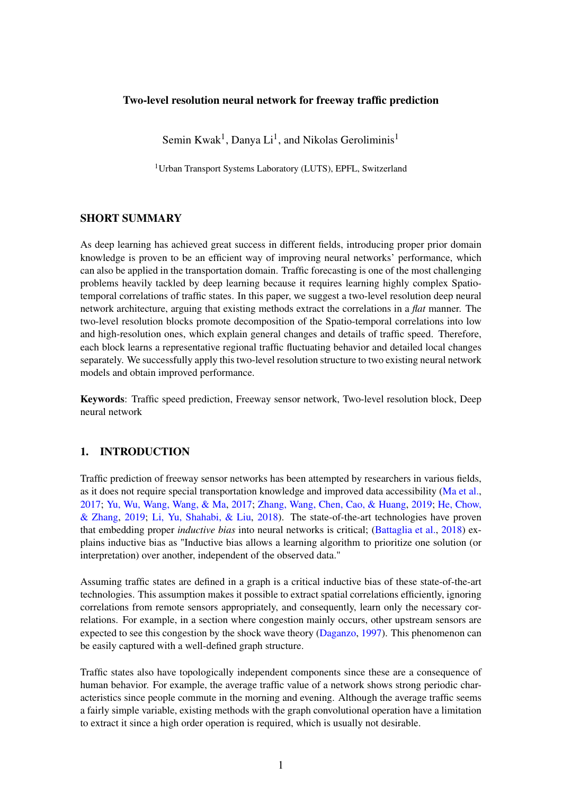# Two-level resolution neural network for freeway traffic prediction

Semin Kwak<sup>1</sup>, Danya Li<sup>1</sup>, and Nikolas Geroliminis<sup>1</sup>

<sup>1</sup>Urban Transport Systems Laboratory (LUTS), EPFL, Switzerland

# SHORT SUMMARY

As deep learning has achieved great success in different fields, introducing proper prior domain knowledge is proven to be an efficient way of improving neural networks' performance, which can also be applied in the transportation domain. Traffic forecasting is one of the most challenging problems heavily tackled by deep learning because it requires learning highly complex Spatiotemporal correlations of traffic states. In this paper, we suggest a two-level resolution deep neural network architecture, arguing that existing methods extract the correlations in a *flat* manner. The two-level resolution blocks promote decomposition of the Spatio-temporal correlations into low and high-resolution ones, which explain general changes and details of traffic speed. Therefore, each block learns a representative regional traffic fluctuating behavior and detailed local changes separately. We successfully apply this two-level resolution structure to two existing neural network models and obtain improved performance.

Keywords: Traffic speed prediction, Freeway sensor network, Two-level resolution block, Deep neural network

# 1. INTRODUCTION

Traffic prediction of freeway sensor networks has been attempted by researchers in various fields, as it does not require special transportation knowledge and improved data accessibility [\(Ma et al.,](#page-6-0) [2017;](#page-6-0) [Yu, Wu, Wang, Wang, & Ma,](#page-6-1) [2017;](#page-6-1) [Zhang, Wang, Chen, Cao, & Huang,](#page-6-2) [2019;](#page-6-2) [He, Chow,](#page-5-0) [& Zhang,](#page-5-0) [2019;](#page-5-0) [Li, Yu, Shahabi, & Liu,](#page-5-1) [2018\)](#page-5-1). The state-of-the-art technologies have proven that embedding proper *inductive bias* into neural networks is critical; [\(Battaglia et al.,](#page-5-2) [2018\)](#page-5-2) explains inductive bias as "Inductive bias allows a learning algorithm to prioritize one solution (or interpretation) over another, independent of the observed data."

Assuming traffic states are defined in a graph is a critical inductive bias of these state-of-the-art technologies. This assumption makes it possible to extract spatial correlations efficiently, ignoring correlations from remote sensors appropriately, and consequently, learn only the necessary correlations. For example, in a section where congestion mainly occurs, other upstream sensors are expected to see this congestion by the shock wave theory [\(Daganzo,](#page-5-3) [1997\)](#page-5-3). This phenomenon can be easily captured with a well-defined graph structure.

Traffic states also have topologically independent components since these are a consequence of human behavior. For example, the average traffic value of a network shows strong periodic characteristics since people commute in the morning and evening. Although the average traffic seems a fairly simple variable, existing methods with the graph convolutional operation have a limitation to extract it since a high order operation is required, which is usually not desirable.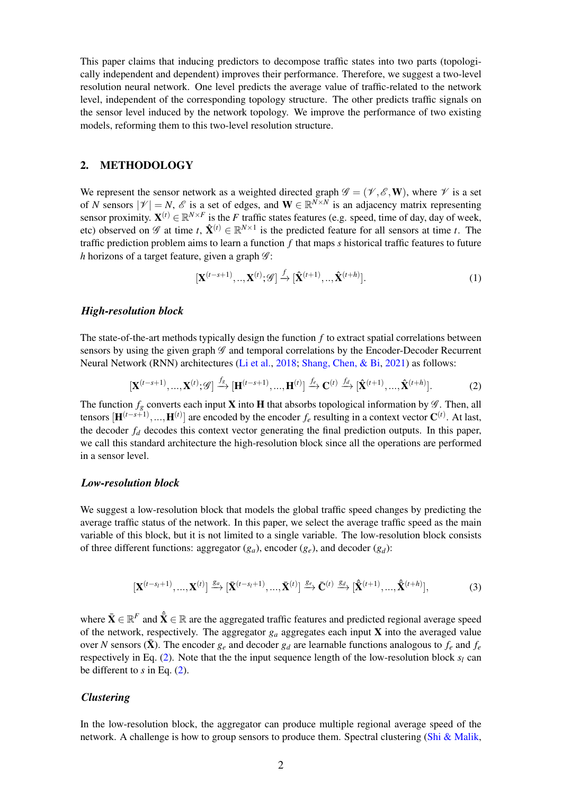This paper claims that inducing predictors to decompose traffic states into two parts (topologically independent and dependent) improves their performance. Therefore, we suggest a two-level resolution neural network. One level predicts the average value of traffic-related to the network level, independent of the corresponding topology structure. The other predicts traffic signals on the sensor level induced by the network topology. We improve the performance of two existing models, reforming them to this two-level resolution structure.

## 2. METHODOLOGY

We represent the sensor network as a weighted directed graph  $\mathscr{G} = (\mathscr{V}, \mathscr{E}, \mathbf{W})$ , where  $\mathscr{V}$  is a set of *N* sensors  $|\mathcal{V}| = N$ ,  $\mathcal{E}$  is a set of edges, and  $\mathbf{W} \in \mathbb{R}^{N \times N}$  is an adjacency matrix representing sensor proximity.  $X^{(t)} \in \mathbb{R}^{N \times F}$  is the *F* traffic states features (e.g. speed, time of day, day of week, etc) observed on  $\mathscr G$  at time *t*,  $\hat{\mathbf{X}}^{(t)} \in \mathbb{R}^{N \times 1}$  is the predicted feature for all sensors at time *t*. The traffic prediction problem aims to learn a function *f* that maps *s* historical traffic features to future *h* horizons of a target feature, given a graph  $\mathscr{G}$ :

$$
[\mathbf{X}^{(t-s+1)},\ldots,\mathbf{X}^{(t)};\mathcal{G}] \stackrel{f}{\rightarrow} [\hat{\mathbf{X}}^{(t+1)},\ldots,\hat{\mathbf{X}}^{(t+h)}].
$$
 (1)

### *High-resolution block*

The state-of-the-art methods typically design the function *f* to extract spatial correlations between sensors by using the given graph  $\mathscr G$  and temporal correlations by the Encoder-Decoder Recurrent Neural Network (RNN) architectures [\(Li et al.,](#page-5-1) [2018;](#page-5-1) [Shang, Chen, & Bi,](#page-6-3) [2021\)](#page-6-3) as follows:

<span id="page-1-0"></span>
$$
[\mathbf{X}^{(t-s+1)},...,\mathbf{X}^{(t)};\mathcal{G}] \xrightarrow{f_g} [\mathbf{H}^{(t-s+1)},...,\mathbf{H}^{(t)}] \xrightarrow{f_e} \mathbf{C}^{(t)} \xrightarrow{f_d} [\hat{\mathbf{X}}^{(t+1)},...,\hat{\mathbf{X}}^{(t+h)}].
$$
 (2)

The function  $f_g$  converts each input **X** into **H** that absorbs topological information by  $\mathscr G$ . Then, all tensors  $[\mathbf{H}^{(t-s+1)}, ..., \mathbf{H}^{(t)}]$  are encoded by the encoder  $f_e$  resulting in a context vector  $\mathbf{C}^{(t)}$ . At last, the decoder  $f_d$  decodes this context vector generating the final prediction outputs. In this paper, we call this standard architecture the high-resolution block since all the operations are performed in a sensor level.

### *Low-resolution block*

We suggest a low-resolution block that models the global traffic speed changes by predicting the average traffic status of the network. In this paper, we select the average traffic speed as the main variable of this block, but it is not limited to a single variable. The low-resolution block consists of three different functions: aggregator  $(g_a)$ , encoder  $(g_e)$ , and decoder  $(g_d)$ :

$$
[\mathbf{X}^{(t-s_l+1)}, \dots, \mathbf{X}^{(t)}] \xrightarrow{g_a} [\bar{\mathbf{X}}^{(t-s_l+1)}, \dots, \bar{\mathbf{X}}^{(t)}] \xrightarrow{g_e} \bar{\mathbf{C}}^{(t)} \xrightarrow{g_d} [\hat{\bar{\mathbf{X}}}^{(t+1)}, \dots, \hat{\bar{\mathbf{X}}}^{(t+h)}],
$$
(3)

where  $\bar{\mathbf{X}} \in \mathbb{R}^F$  and  $\hat{\bar{\mathbf{X}}} \in \mathbb{R}$  are the aggregated traffic features and predicted regional average speed of the network, respectively. The aggregator  $g_a$  aggregates each input  $X$  into the averaged value over *N* sensors ( $\bar{\mathbf{X}}$ ). The encoder  $g_e$  and decoder  $g_d$  are learnable functions analogous to  $f_e$  and  $f_e$ respectively in Eq. [\(2\)](#page-1-0). Note that the the input sequence length of the low-resolution block  $s_l$  can be different to *s* in Eq. [\(2\)](#page-1-0).

#### *Clustering*

In the low-resolution block, the aggregator can produce multiple regional average speed of the network. A challenge is how to group sensors to produce them. Spectral clustering [\(Shi & Malik,](#page-6-4)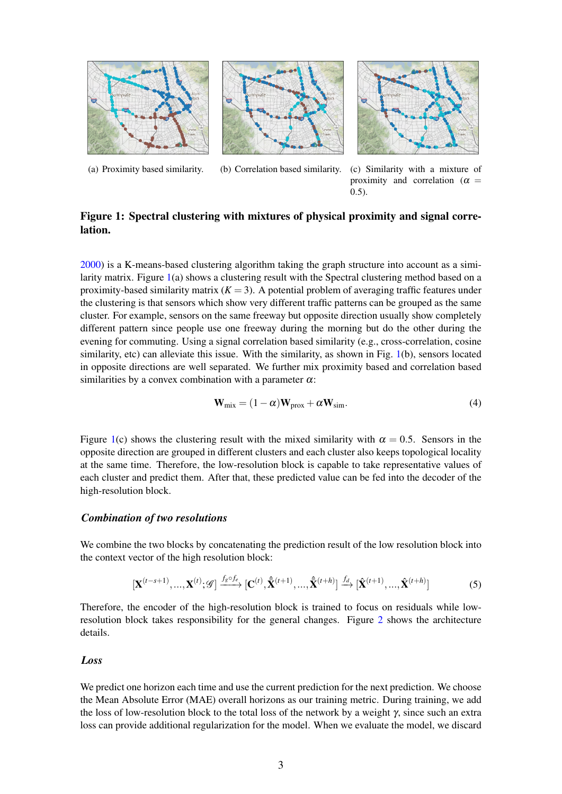<span id="page-2-0"></span>





(a) Proximity based similarity. (b) Correlation based similarity. (c) Similarity with a mixture of proximity and correlation ( $\alpha$  = 0.5).

# Figure 1: Spectral clustering with mixtures of physical proximity and signal correlation.

[2000\)](#page-6-4) is a K-means-based clustering algorithm taking the graph structure into account as a simi-larity matrix. Figure [1\(](#page-2-0)a) shows a clustering result with the Spectral clustering method based on a proximity-based similarity matrix  $(K = 3)$ . A potential problem of averaging traffic features under the clustering is that sensors which show very different traffic patterns can be grouped as the same cluster. For example, sensors on the same freeway but opposite direction usually show completely different pattern since people use one freeway during the morning but do the other during the evening for commuting. Using a signal correlation based similarity (e.g., cross-correlation, cosine similarity, etc) can alleviate this issue. With the similarity, as shown in Fig. [1\(](#page-2-0)b), sensors located in opposite directions are well separated. We further mix proximity based and correlation based similarities by a convex combination with a parameter  $\alpha$ :

$$
\mathbf{W}_{\text{mix}} = (1 - \alpha)\mathbf{W}_{\text{prox}} + \alpha \mathbf{W}_{\text{sim}}.
$$
 (4)

Figure [1\(](#page-2-0)c) shows the clustering result with the mixed similarity with  $\alpha = 0.5$ . Sensors in the opposite direction are grouped in different clusters and each cluster also keeps topological locality at the same time. Therefore, the low-resolution block is capable to take representative values of each cluster and predict them. After that, these predicted value can be fed into the decoder of the high-resolution block.

## *Combination of two resolutions*

We combine the two blocks by concatenating the prediction result of the low resolution block into the context vector of the high resolution block:

$$
\left[\mathbf{X}^{(t-s+1)},\ldots,\mathbf{X}^{(t)};\mathscr{G}\right] \xrightarrow{f_{g} \circ f_{e}} \left[\mathbf{C}^{(t)},\hat{\mathbf{X}}^{(t+1)},\ldots,\hat{\mathbf{X}}^{(t+h)}\right] \xrightarrow{f_{d}} \left[\hat{\mathbf{X}}^{(t+1)},\ldots,\hat{\mathbf{X}}^{(t+h)}\right]
$$
(5)

Therefore, the encoder of the high-resolution block is trained to focus on residuals while lowresolution block takes responsibility for the general changes. Figure [2](#page-3-0) shows the architecture details.

## *Loss*

We predict one horizon each time and use the current prediction for the next prediction. We choose the Mean Absolute Error (MAE) overall horizons as our training metric. During training, we add the loss of low-resolution block to the total loss of the network by a weight  $\gamma$ , since such an extra loss can provide additional regularization for the model. When we evaluate the model, we discard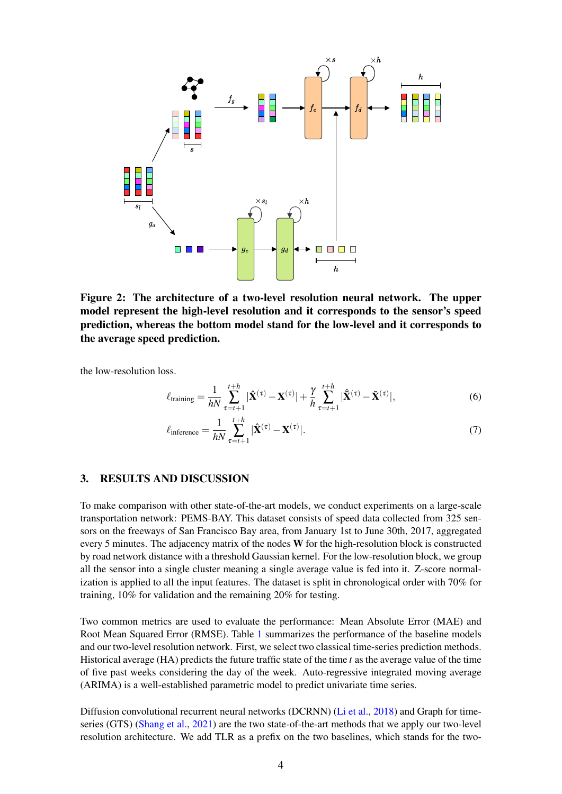<span id="page-3-0"></span>

Figure 2: The architecture of a two-level resolution neural network. The upper model represent the high-level resolution and it corresponds to the sensor's speed prediction, whereas the bottom model stand for the low-level and it corresponds to the average speed prediction.

the low-resolution loss.

$$
\ell_{\text{training}} = \frac{1}{hN} \sum_{\tau=t+1}^{t+h} |\hat{\mathbf{X}}^{(\tau)} - \mathbf{X}^{(\tau)}| + \frac{\gamma}{h} \sum_{\tau=t+1}^{t+h} |\hat{\mathbf{X}}^{(\tau)} - \bar{\mathbf{X}}^{(\tau)}|,\tag{6}
$$

$$
\ell_{\text{inference}} = \frac{1}{hN} \sum_{\tau=t+1}^{t+h} |\hat{\mathbf{X}}^{(\tau)} - \mathbf{X}^{(\tau)}|.
$$
 (7)

## 3. RESULTS AND DISCUSSION

To make comparison with other state-of-the-art models, we conduct experiments on a large-scale transportation network: PEMS-BAY. This dataset consists of speed data collected from 325 sensors on the freeways of San Francisco Bay area, from January 1st to June 30th, 2017, aggregated every 5 minutes. The adjacency matrix of the nodes W for the high-resolution block is constructed by road network distance with a threshold Gaussian kernel. For the low-resolution block, we group all the sensor into a single cluster meaning a single average value is fed into it. Z-score normalization is applied to all the input features. The dataset is split in chronological order with 70% for training, 10% for validation and the remaining 20% for testing.

Two common metrics are used to evaluate the performance: Mean Absolute Error (MAE) and Root Mean Squared Error (RMSE). Table [1](#page-4-0) summarizes the performance of the baseline models and our two-level resolution network. First, we select two classical time-series prediction methods. Historical average (HA) predicts the future traffic state of the time *t* as the average value of the time of five past weeks considering the day of the week. Auto-regressive integrated moving average (ARIMA) is a well-established parametric model to predict univariate time series.

Diffusion convolutional recurrent neural networks (DCRNN) [\(Li et al.,](#page-5-1) [2018\)](#page-5-1) and Graph for timeseries (GTS) [\(Shang et al.,](#page-6-3) [2021\)](#page-6-3) are the two state-of-the-art methods that we apply our two-level resolution architecture. We add TLR as a prefix on the two baselines, which stands for the two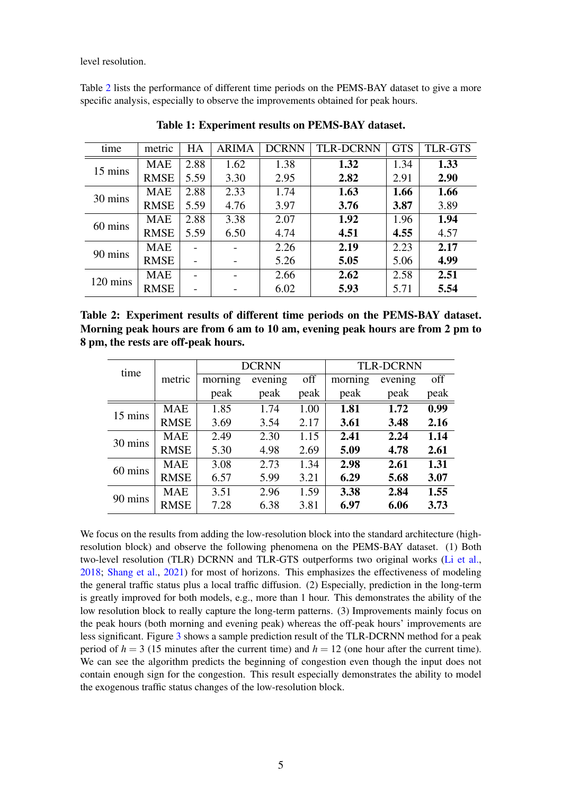level resolution.

<span id="page-4-0"></span>Table [2](#page-4-1) lists the performance of different time periods on the PEMS-BAY dataset to give a more specific analysis, especially to observe the improvements obtained for peak hours.

| time     | metric      | HA   | <b>ARIMA</b> | <b>DCRNN</b> | <b>TLR-DCRNN</b> | <b>GTS</b> | <b>TLR-GTS</b> |
|----------|-------------|------|--------------|--------------|------------------|------------|----------------|
| 15 mins  | <b>MAE</b>  | 2.88 | 1.62         | 1.38         | 1.32             | 1.34       | 1.33           |
|          | <b>RMSE</b> | 5.59 | 3.30         | 2.95         | 2.82             | 2.91       | 2.90           |
| 30 mins  | <b>MAE</b>  | 2.88 | 2.33         | 1.74         | 1.63             | 1.66       | 1.66           |
|          | <b>RMSE</b> | 5.59 | 4.76         | 3.97         | 3.76             | 3.87       | 3.89           |
| 60 mins  | <b>MAE</b>  | 2.88 | 3.38         | 2.07         | 1.92             | 1.96       | 1.94           |
|          | <b>RMSE</b> | 5.59 | 6.50         | 4.74         | 4.51             | 4.55       | 4.57           |
| 90 mins  | <b>MAE</b>  |      |              | 2.26         | 2.19             | 2.23       | 2.17           |
|          | <b>RMSE</b> |      |              | 5.26         | 5.05             | 5.06       | 4.99           |
| 120 mins | <b>MAE</b>  |      |              | 2.66         | 2.62             | 2.58       | 2.51           |
|          | <b>RMSE</b> |      |              | 6.02         | 5.93             | 5.71       | 5.54           |

Table 1: Experiment results on PEMS-BAY dataset.

<span id="page-4-1"></span>Table 2: Experiment results of different time periods on the PEMS-BAY dataset. Morning peak hours are from 6 am to 10 am, evening peak hours are from 2 pm to 8 pm, the rests are off-peak hours.

| time    |             |         | <b>DCRNN</b> |      | <b>TLR-DCRNN</b> |         |      |  |
|---------|-------------|---------|--------------|------|------------------|---------|------|--|
|         | metric      | morning | evening      | off  | morning          | evening | off  |  |
|         |             | peak    | peak         | peak | peak             | peak    | peak |  |
| 15 mins | <b>MAE</b>  | 1.85    | 1.74         | 1.00 | 1.81             | 1.72    | 0.99 |  |
|         | <b>RMSE</b> | 3.69    | 3.54         | 2.17 | 3.61             | 3.48    | 2.16 |  |
| 30 mins | <b>MAE</b>  | 2.49    | 2.30         | 1.15 | 2.41             | 2.24    | 1.14 |  |
|         | <b>RMSE</b> | 5.30    | 4.98         | 2.69 | 5.09             | 4.78    | 2.61 |  |
| 60 mins | <b>MAE</b>  | 3.08    | 2.73         | 1.34 | 2.98             | 2.61    | 1.31 |  |
|         | <b>RMSE</b> | 6.57    | 5.99         | 3.21 | 6.29             | 5.68    | 3.07 |  |
| 90 mins | <b>MAE</b>  | 3.51    | 2.96         | 1.59 | 3.38             | 2.84    | 1.55 |  |
|         | <b>RMSE</b> | 7.28    | 6.38         | 3.81 | 6.97             | 6.06    | 3.73 |  |

We focus on the results from adding the low-resolution block into the standard architecture (highresolution block) and observe the following phenomena on the PEMS-BAY dataset. (1) Both two-level resolution (TLR) DCRNN and TLR-GTS outperforms two original works [\(Li et al.,](#page-5-1) [2018;](#page-5-1) [Shang et al.,](#page-6-3) [2021\)](#page-6-3) for most of horizons. This emphasizes the effectiveness of modeling the general traffic status plus a local traffic diffusion. (2) Especially, prediction in the long-term is greatly improved for both models, e.g., more than 1 hour. This demonstrates the ability of the low resolution block to really capture the long-term patterns. (3) Improvements mainly focus on the peak hours (both morning and evening peak) whereas the off-peak hours' improvements are less significant. Figure [3](#page-5-4) shows a sample prediction result of the TLR-DCRNN method for a peak period of  $h = 3$  (15 minutes after the current time) and  $h = 12$  (one hour after the current time). We can see the algorithm predicts the beginning of congestion even though the input does not contain enough sign for the congestion. This result especially demonstrates the ability to model the exogenous traffic status changes of the low-resolution block.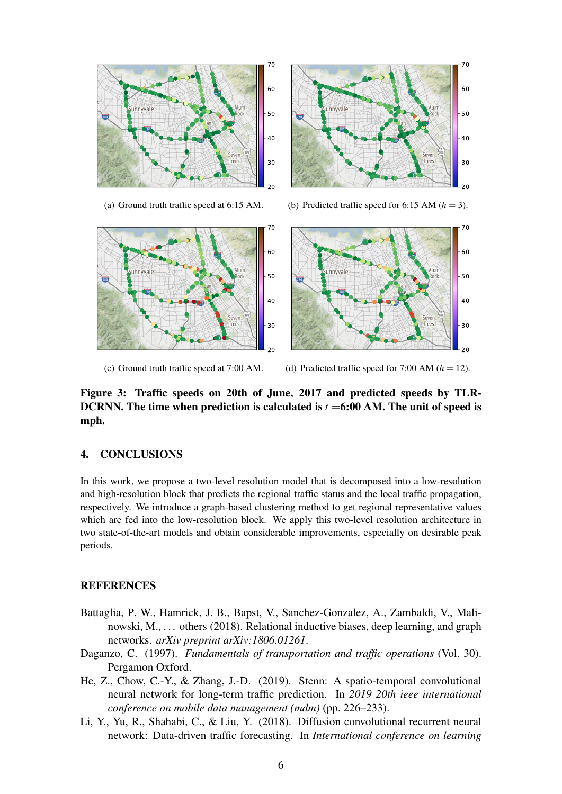<span id="page-5-4"></span>

(a) Ground truth traffic speed at 6:15 AM.

(b) Predicted traffic speed for 6:15 AM  $(h = 3)$ .



(c) Ground truth traffic speed at 7:00 AM.

(d) Predicted traffic speed for 7:00 AM  $(h = 12)$ .

Figure 3: Traffic speeds on 20th of June, 2017 and predicted speeds by TLR-DCRNN. The time when prediction is calculated is *t* =6:00 AM. The unit of speed is mph.

## 4. CONCLUSIONS

In this work, we propose a two-level resolution model that is decomposed into a low-resolution and high-resolution block that predicts the regional traffic status and the local traffic propagation, respectively. We introduce a graph-based clustering method to get regional representative values which are fed into the low-resolution block. We apply this two-level resolution architecture in two state-of-the-art models and obtain considerable improvements, especially on desirable peak periods.

# **REFERENCES**

- <span id="page-5-2"></span>Battaglia, P. W., Hamrick, J. B., Bapst, V., Sanchez-Gonzalez, A., Zambaldi, V., Malinowski, M., . . . others (2018). Relational inductive biases, deep learning, and graph networks. *arXiv preprint arXiv:1806.01261*.
- <span id="page-5-3"></span>Daganzo, C. (1997). *Fundamentals of transportation and traffic operations* (Vol. 30). Pergamon Oxford.
- <span id="page-5-0"></span>He, Z., Chow, C.-Y., & Zhang, J.-D. (2019). Stcnn: A spatio-temporal convolutional neural network for long-term traffic prediction. In *2019 20th ieee international conference on mobile data management (mdm)* (pp. 226–233).
- <span id="page-5-1"></span>Li, Y., Yu, R., Shahabi, C., & Liu, Y. (2018). Diffusion convolutional recurrent neural network: Data-driven traffic forecasting. In *International conference on learning*